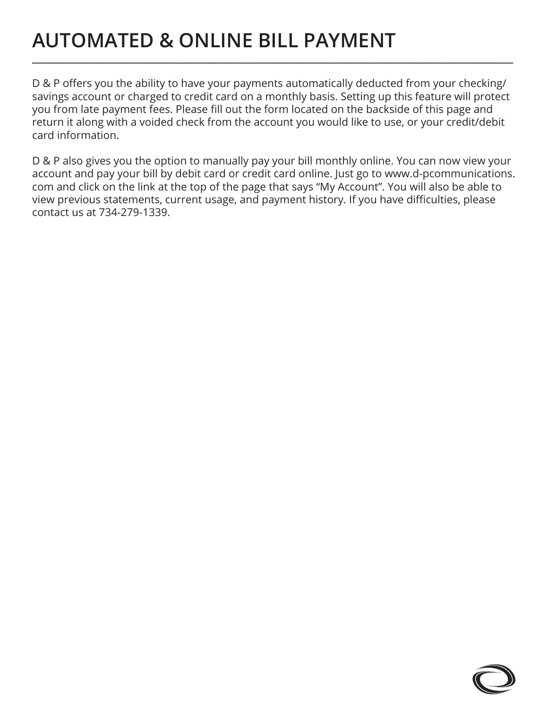## **AUTOMATED & ONLINE BILL PAYMENT** \_\_\_\_\_\_\_\_\_\_\_\_\_\_\_\_\_\_\_\_\_\_\_\_\_\_\_\_\_\_\_\_\_\_\_\_\_\_\_\_\_\_\_\_\_\_\_\_\_\_\_\_\_\_\_\_\_\_\_\_\_\_\_\_\_\_\_\_\_\_\_\_\_\_\_\_\_\_\_\_

D & P offers you the ability to have your payments automatically deducted from your checking/ savings account or charged to credit card on a monthly basis. Setting up this feature will protect you from late payment fees. Please fill out the form located on the backside of this page and return it along with a voided check from the account you would like to use, or your credit/debit card information.

D & P also gives you the option to manually pay your bill monthly online. You can now view your account and pay your bill by debit card or credit card online. Just go to www.d-pcommunications. com and click on the link at the top of the page that says "My Account". You will also be able to view previous statements, current usage, and payment history. If you have difficulties, please contact us at 734-279-1339.